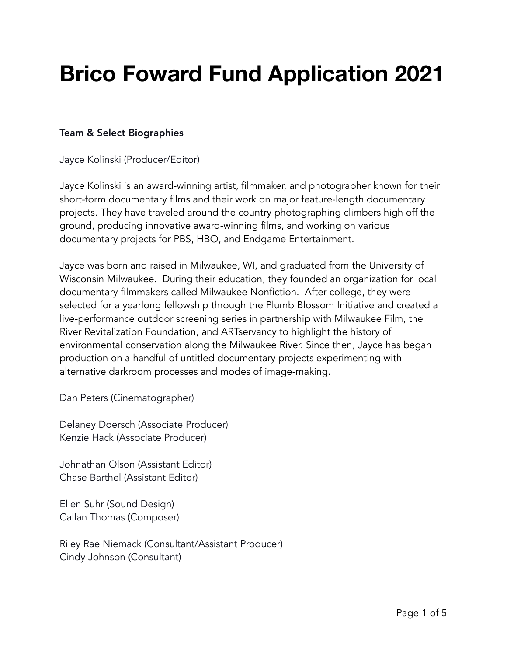# **Brico Foward Fund Application 2021**

## Team & Select Biographies

Jayce Kolinski (Producer/Editor)

Jayce Kolinski is an award-winning artist, filmmaker, and photographer known for their short-form documentary films and their work on major feature-length documentary projects. They have traveled around the country photographing climbers high off the ground, producing innovative award-winning films, and working on various documentary projects for PBS, HBO, and Endgame Entertainment.

Jayce was born and raised in Milwaukee, WI, and graduated from the University of Wisconsin Milwaukee. During their education, they founded an organization for local documentary filmmakers called Milwaukee Nonfiction. After college, they were selected for a yearlong fellowship through the Plumb Blossom Initiative and created a live-performance outdoor screening series in partnership with Milwaukee Film, the River Revitalization Foundation, and ARTservancy to highlight the history of environmental conservation along the Milwaukee River. Since then, Jayce has began production on a handful of untitled documentary projects experimenting with alternative darkroom processes and modes of image-making.

Dan Peters (Cinematographer)

Delaney Doersch (Associate Producer) Kenzie Hack (Associate Producer)

Johnathan Olson (Assistant Editor) Chase Barthel (Assistant Editor)

Ellen Suhr (Sound Design) Callan Thomas (Composer)

Riley Rae Niemack (Consultant/Assistant Producer) Cindy Johnson (Consultant)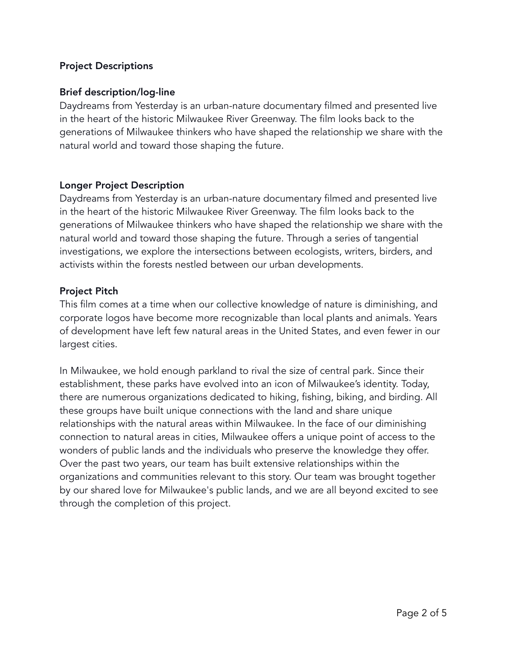#### Project Descriptions

#### Brief description/log-line

Daydreams from Yesterday is an urban-nature documentary filmed and presented live in the heart of the historic Milwaukee River Greenway. The film looks back to the generations of Milwaukee thinkers who have shaped the relationship we share with the natural world and toward those shaping the future.

#### Longer Project Description

Daydreams from Yesterday is an urban-nature documentary filmed and presented live in the heart of the historic Milwaukee River Greenway. The film looks back to the generations of Milwaukee thinkers who have shaped the relationship we share with the natural world and toward those shaping the future. Through a series of tangential investigations, we explore the intersections between ecologists, writers, birders, and activists within the forests nestled between our urban developments.

#### Project Pitch

This film comes at a time when our collective knowledge of nature is diminishing, and corporate logos have become more recognizable than local plants and animals. Years of development have left few natural areas in the United States, and even fewer in our largest cities.

In Milwaukee, we hold enough parkland to rival the size of central park. Since their establishment, these parks have evolved into an icon of Milwaukee's identity. Today, there are numerous organizations dedicated to hiking, fishing, biking, and birding. All these groups have built unique connections with the land and share unique relationships with the natural areas within Milwaukee. In the face of our diminishing connection to natural areas in cities, Milwaukee offers a unique point of access to the wonders of public lands and the individuals who preserve the knowledge they offer. Over the past two years, our team has built extensive relationships within the organizations and communities relevant to this story. Our team was brought together by our shared love for Milwaukee's public lands, and we are all beyond excited to see through the completion of this project.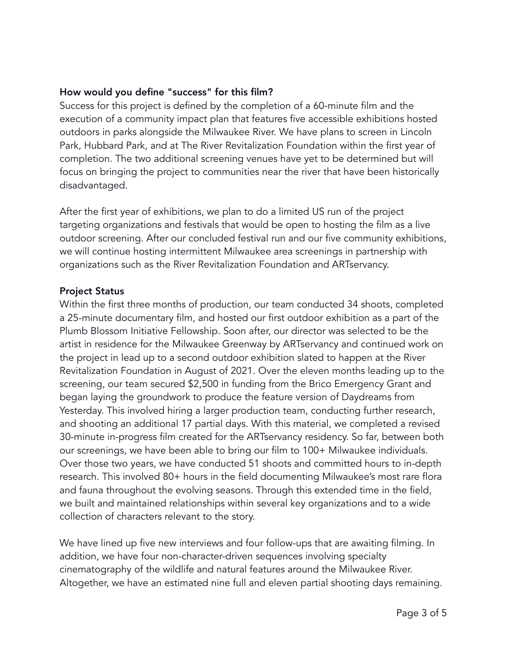## How would you define "success" for this film?

Success for this project is defined by the completion of a 60-minute film and the execution of a community impact plan that features five accessible exhibitions hosted outdoors in parks alongside the Milwaukee River. We have plans to screen in Lincoln Park, Hubbard Park, and at The River Revitalization Foundation within the first year of completion. The two additional screening venues have yet to be determined but will focus on bringing the project to communities near the river that have been historically disadvantaged.

After the first year of exhibitions, we plan to do a limited US run of the project targeting organizations and festivals that would be open to hosting the film as a live outdoor screening. After our concluded festival run and our five community exhibitions, we will continue hosting intermittent Milwaukee area screenings in partnership with organizations such as the River Revitalization Foundation and ARTservancy.

#### Project Status

Within the first three months of production, our team conducted 34 shoots, completed a 25-minute documentary film, and hosted our first outdoor exhibition as a part of the Plumb Blossom Initiative Fellowship. Soon after, our director was selected to be the artist in residence for the Milwaukee Greenway by ARTservancy and continued work on the project in lead up to a second outdoor exhibition slated to happen at the River Revitalization Foundation in August of 2021. Over the eleven months leading up to the screening, our team secured \$2,500 in funding from the Brico Emergency Grant and began laying the groundwork to produce the feature version of Daydreams from Yesterday. This involved hiring a larger production team, conducting further research, and shooting an additional 17 partial days. With this material, we completed a revised 30-minute in-progress film created for the ARTservancy residency. So far, between both our screenings, we have been able to bring our film to 100+ Milwaukee individuals. Over those two years, we have conducted 51 shoots and committed hours to in-depth research. This involved 80+ hours in the field documenting Milwaukee's most rare flora and fauna throughout the evolving seasons. Through this extended time in the field, we built and maintained relationships within several key organizations and to a wide collection of characters relevant to the story.

We have lined up five new interviews and four follow-ups that are awaiting filming. In addition, we have four non-character-driven sequences involving specialty cinematography of the wildlife and natural features around the Milwaukee River. Altogether, we have an estimated nine full and eleven partial shooting days remaining.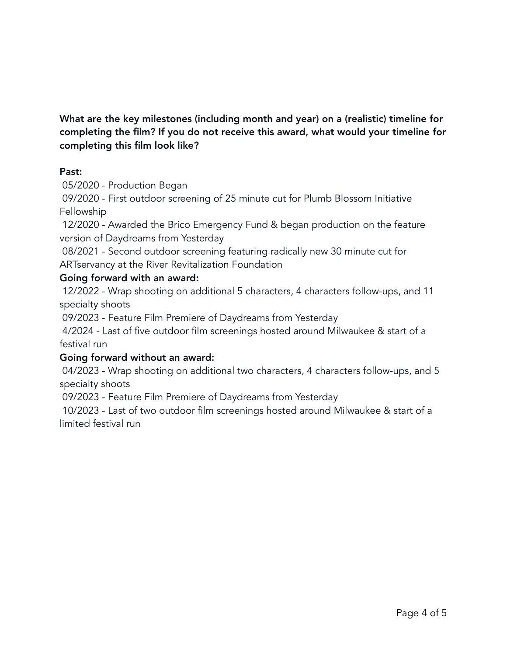What are the key milestones (including month and year) on a (realistic) timeline for completing the film? If you do not receive this award, what would your timeline for completing this film look like?

#### Past:

05/2020 - Production Began

09/2020 - First outdoor screening of 25 minute cut for Plumb Blossom Initiative Fellowship

12/2020 - Awarded the Brico Emergency Fund & began production on the feature version of Daydreams from Yesterday

08/2021 - Second outdoor screening featuring radically new 30 minute cut for ARTservancy at the River Revitalization Foundation

#### Going forward with an award:

12/2022 - Wrap shooting on additional 5 characters, 4 characters follow-ups, and 11 specialty shoots

09/2023 - Feature Film Premiere of Daydreams from Yesterday

4/2024 - Last of five outdoor film screenings hosted around Milwaukee & start of a festival run

#### Going forward without an award:

04/2023 - Wrap shooting on additional two characters, 4 characters follow-ups, and 5 specialty shoots

09/2023 - Feature Film Premiere of Daydreams from Yesterday

10/2023 - Last of two outdoor film screenings hosted around Milwaukee & start of a limited festival run